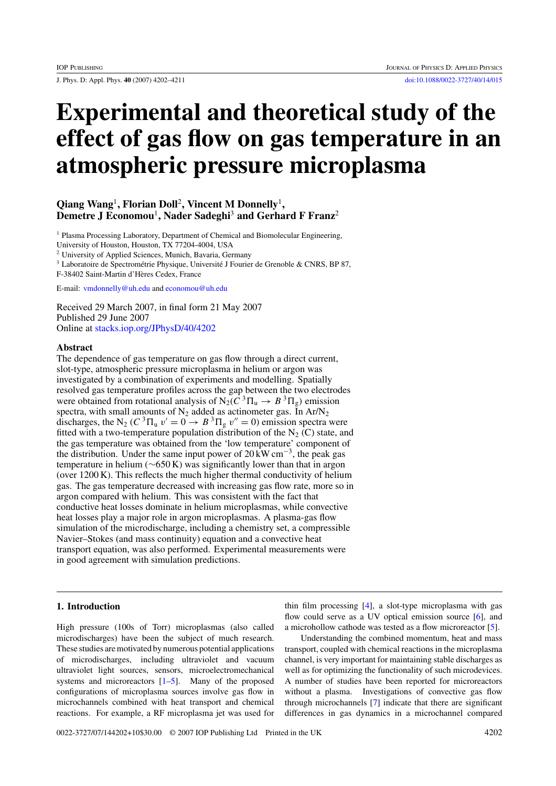# **Experimental and theoretical study of the effect of gas flow on gas temperature in an atmospheric pressure microplasma**

# **Qiang Wang**<sup>1</sup>**, Florian Doll**<sup>2</sup>**, Vincent M Donnelly**<sup>1</sup>**, Demetre J Economou**<sup>1</sup>**, Nader Sadeghi**<sup>3</sup> **and Gerhard F Franz**<sup>2</sup>

<sup>1</sup> Plasma Processing Laboratory, Department of Chemical and Biomolecular Engineering,

University of Houston, Houston, TX 77204-4004, USA

<sup>2</sup> University of Applied Sciences, Munich, Bavaria, Germany

 $^3$  Laboratoire de Spectrométrie Physique, Université J Fourier de Grenoble & CNRS, BP 87,

F-38402 Saint-Martin d'Heres Cedex, France `

E-mail: [vmdonnelly@uh.edu](mailto: vmdonnelly@uh.edu) and [economou@uh.edu](mailto: economou@uh.edu)

Received 29 March 2007, in final form 21 May 2007 Published 29 June 2007 Online at [stacks.iop.org/JPhysD/40/4202](http://stacks.iop.org/JPhysD/40/4202)

## **Abstract**

The dependence of gas temperature on gas flow through a direct current, slot-type, atmospheric pressure microplasma in helium or argon was investigated by a combination of experiments and modelling. Spatially resolved gas temperature profiles across the gap between the two electrodes were obtained from rotational analysis of  $N_2(\tilde{C}^3 \Pi_u \rightarrow B^3 \Pi_g)$  emission spectra, with small amounts of  $N_2$  added as actinometer gas. In Ar/ $N_2$ discharges, the N<sub>2</sub> ( $C^3\Pi_u v' = 0 \rightarrow B^3\Pi_g v'' = 0$ ) emission spectra were fitted with a two-temperature population distribution of the  $N_2$  (C) state, and the gas temperature was obtained from the 'low temperature' component of the distribution. Under the same input power of  $20 \text{ kW cm}^{-3}$ , the peak gas temperature in helium (∼650 K) was significantly lower than that in argon (over 1200 K). This reflects the much higher thermal conductivity of helium gas. The gas temperature decreased with increasing gas flow rate, more so in argon compared with helium. This was consistent with the fact that conductive heat losses dominate in helium microplasmas, while convective heat losses play a major role in argon microplasmas. A plasma-gas flow simulation of the microdischarge, including a chemistry set, a compressible Navier–Stokes (and mass continuity) equation and a convective heat transport equation, was also performed. Experimental measurements were in good agreement with simulation predictions.

# **1. Introduction**

High pressure (100s of Torr) microplasmas (also called microdischarges) have been the subject of much research. These studies are motivated by numerous potential applications of microdischarges, including ultraviolet and vacuum ultraviolet light sources, sensors, microelectromechanical systems and microreactors  $[1-5]$ . Many of the proposed configurations of microplasma sources involve gas flow in microchannels combined with heat transport and chemical reactions. For example, a RF microplasma jet was used for

thin film processing [\[4\]](#page-9-0), a slot-type microplasma with gas flow could serve as a UV optical emission source [\[6\]](#page-9-0), and a microhollow cathode was tested as a flow microreactor [\[5\]](#page-9-0).

Understanding the combined momentum, heat and mass transport, coupled with chemical reactions in the microplasma channel, is very important for maintaining stable discharges as well as for optimizing the functionality of such microdevices. A number of studies have been reported for microreactors without a plasma. Investigations of convective gas flow through microchannels [\[7\]](#page-9-0) indicate that there are significant differences in gas dynamics in a microchannel compared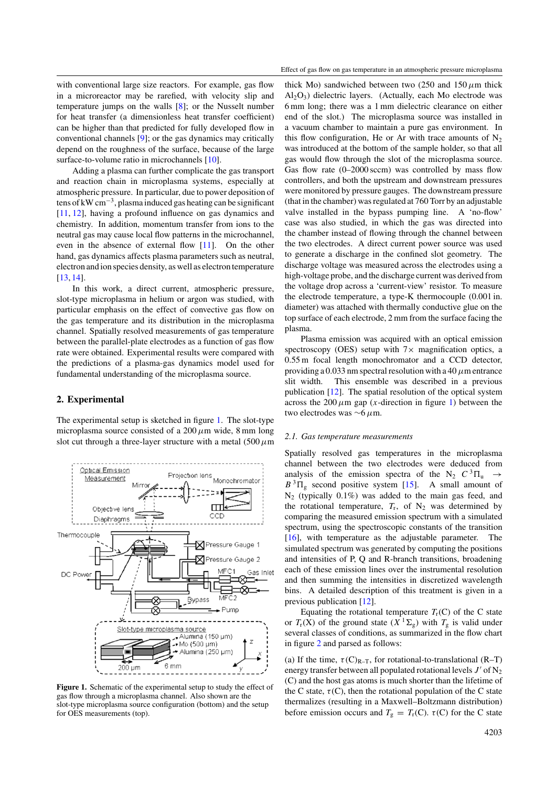with conventional large size reactors. For example, gas flow in a microreactor may be rarefied, with velocity slip and temperature jumps on the walls [\[8\]](#page-9-0); or the Nusselt number for heat transfer (a dimensionless heat transfer coefficient) can be higher than that predicted for fully developed flow in conventional channels [\[9\]](#page-9-0); or the gas dynamics may critically depend on the roughness of the surface, because of the large surface-to-volume ratio in microchannels [\[10\]](#page-9-0).

Adding a plasma can further complicate the gas transport and reaction chain in microplasma systems, especially at atmospheric pressure. In particular, due to power deposition of tens of kW cm−3, plasma induced gas heating can be significant [\[11,](#page-9-0) [12\]](#page-9-0), having a profound influence on gas dynamics and chemistry. In addition, momentum transfer from ions to the neutral gas may cause local flow patterns in the microchannel, even in the absence of external flow [\[11\]](#page-9-0). On the other hand, gas dynamics affects plasma parameters such as neutral, electron and ion species density, as well as electron temperature [\[13,](#page-9-0) [14\]](#page-9-0).

In this work, a direct current, atmospheric pressure, slot-type microplasma in helium or argon was studied, with particular emphasis on the effect of convective gas flow on the gas temperature and its distribution in the microplasma channel. Spatially resolved measurements of gas temperature between the parallel-plate electrodes as a function of gas flow rate were obtained. Experimental results were compared with the predictions of a plasma-gas dynamics model used for fundamental understanding of the microplasma source.

## **2. Experimental**

The experimental setup is sketched in figure 1. The slot-type microplasma source consisted of a 200*µ*m wide, 8 mm long slot cut through a three-layer structure with a metal (500*µ*m



Figure 1. Schematic of the experimental setup to study the effect of gas flow through a microplasma channel. Also shown are the slot-type microplasma source configuration (bottom) and the setup for OES measurements (top).

thick Mo) sandwiched between two  $(250 \text{ and } 150 \mu \text{m})$  thick  $Al_2O_3$ ) dielectric layers. (Actually, each Mo electrode was 6 mm long; there was a 1 mm dielectric clearance on either end of the slot.) The microplasma source was installed in a vacuum chamber to maintain a pure gas environment. In this flow configuration. He or Ar with trace amounts of  $N_2$ was introduced at the bottom of the sample holder, so that all gas would flow through the slot of the microplasma source. Gas flow rate (0–2000 sccm) was controlled by mass flow controllers, and both the upstream and downstream pressures were monitored by pressure gauges. The downstream pressure (that in the chamber) was regulated at 760 Torr by an adjustable valve installed in the bypass pumping line. A 'no-flow' case was also studied, in which the gas was directed into the chamber instead of flowing through the channel between the two electrodes. A direct current power source was used to generate a discharge in the confined slot geometry. The discharge voltage was measured across the electrodes using a high-voltage probe, and the discharge current was derived from the voltage drop across a 'current-view' resistor. To measure the electrode temperature, a type-K thermocouple (0.001 in. diameter) was attached with thermally conductive glue on the top surface of each electrode, 2 mm from the surface facing the plasma.

Plasma emission was acquired with an optical emission spectroscopy (OES) setup with  $7\times$  magnification optics, a 0.55 m focal length monochromator and a CCD detector, providing a 0.033 nm spectral resolution with a 40*µ*m entrance slit width. This ensemble was described in a previous publication [\[12\]](#page-9-0). The spatial resolution of the optical system across the  $200 \mu m$  gap (*x*-direction in figure 1) between the two electrodes was ∼6*µ*m.

#### *2.1. Gas temperature measurements*

Spatially resolved gas temperatures in the microplasma channel between the two electrodes were deduced from analysis of the emission spectra of the N<sub>2</sub>  $C^3\Pi_u \rightarrow$  $B^{3}\Pi_{g}$  second positive system [\[15\]](#page-9-0). A small amount of  $N_2$  (typically 0.1%) was added to the main gas feed, and the rotational temperature,  $T_r$ , of  $N_2$  was determined by comparing the measured emission spectrum with a simulated spectrum, using the spectroscopic constants of the transition [\[16\]](#page-9-0), with temperature as the adjustable parameter. The simulated spectrum was generated by computing the positions and intensities of P, Q and R-branch transitions, broadening each of these emission lines over the instrumental resolution and then summing the intensities in discretized wavelength bins. A detailed description of this treatment is given in a previous publication [\[12\]](#page-9-0).

Equating the rotational temperature  $T_r(C)$  of the C state or  $T_r(X)$  of the ground state  $(X^1\Sigma_g)$  with  $T_g$  is valid under several classes of conditions, as summarized in the flow chart in figure [2](#page-2-0) and parsed as follows:

(a) If the time,  $\tau$  (C)<sub>R-T</sub>, for rotational-to-translational (R–T) energy transfer between all populated rotational levels  $J'$  of  $N_2$ (C) and the host gas atoms is much shorter than the lifetime of the C state,  $\tau$ (C), then the rotational population of the C state thermalizes (resulting in a Maxwell–Boltzmann distribution) before emission occurs and  $T_g = T_r(C)$ .  $\tau(C)$  for the C state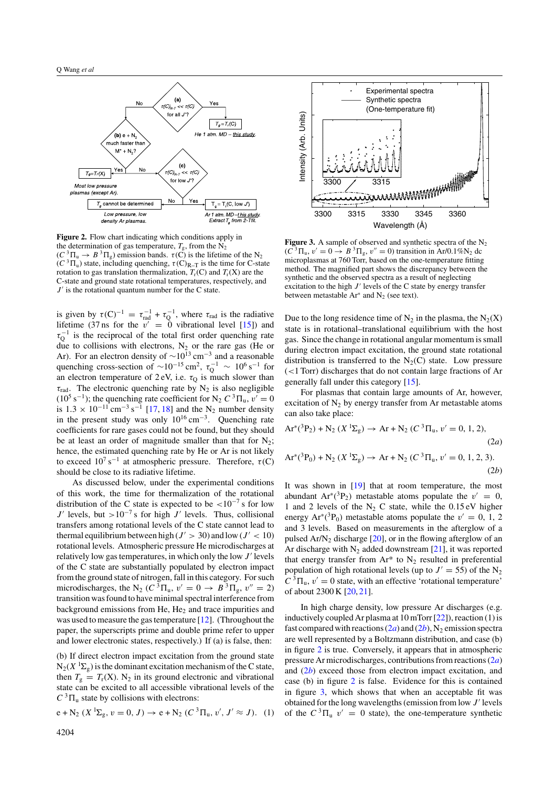<span id="page-2-0"></span>

**Figure 2.** Flow chart indicating which conditions apply in the determination of gas temperature,  $T_{\rm g}$ , from the N<sub>2</sub>  $(C^{3}\Pi_{u} \rightarrow B^{3}\Pi_{g})$  emission bands.  $\tau(\vec{C})$  is the lifetime of the N<sub>2</sub>  $(C^{3} \Pi_{u})$  state, including quenching,  $\tau(C)_{R-T}$  is the time for C-state rotation to gas translation thermalization,  $T_r(C)$  and  $T_r(X)$  are the C-state and ground state rotational temperatures, respectively, and  $J'$  is the rotational quantum number for the C state.

is given by  $\tau$ (C)<sup>-1</sup> =  $\tau_{rad}^{-1}$  +  $\tau_Q^{-1}$ , where  $\tau_{rad}$  is the radiative lifetime (37 ns for the  $v' = 0$  vibrational level [\[15\]](#page-9-0)) and  $\tau_Q^{-1}$  is the reciprocal of the total first order quenching rate due to collisions with electrons,  $N_2$  or the rare gas (He or Ar). For an electron density of  $\sim 10^{13}$  cm<sup>-3</sup> and a reasonable quenching cross-section of  $\sim 10^{-15}$  cm<sup>2</sup>,  $\tau_Q^{-1} \sim 10^6$  s<sup>-1</sup> for an electron temperature of  $2 \text{ eV}$ , i.e.  $\tau_{\text{Q}}$  is much slower than  $\tau_{rad}$ . The electronic quenching rate by  $N_2$  is also negligible ( $10^5$  s<sup>-1</sup>); the quenching rate coefficient for N<sub>2</sub>  $C^3 \Pi_u$ ,  $v' = 0$ is  $1.3 \times 10^{-11}$  cm<sup>-3</sup> s<sup>-1</sup> [\[17,](#page-9-0) [18\]](#page-9-0) and the N<sub>2</sub> number density in the present study was only  $10^{16}$  cm<sup>-3</sup>. Quenching rate coefficients for rare gases could not be found, but they should be at least an order of magnitude smaller than that for  $N_2$ ; hence, the estimated quenching rate by He or Ar is not likely to exceed  $10^7$  s<sup>-1</sup> at atmospheric pressure. Therefore,  $\tau$ (C) should be close to its radiative lifetime.

As discussed below, under the experimental conditions of this work, the time for thermalization of the rotational distribution of the C state is expected to be *<*10−<sup>7</sup> s for low  $J'$  levels, but >10<sup>-7</sup> s for high  $J'$  levels. Thus, collisional transfers among rotational levels of the C state cannot lead to thermal equilibrium between high  $(J' > 30)$  and low  $(J' < 10)$ rotational levels. Atmospheric pressure He microdischarges at relatively low gas temperatures, in which only the low  $J'$  levels of the C state are substantially populated by electron impact from the ground state of nitrogen, fall in this category. For such microdischarges, the N<sub>2</sub> ( $C^{3}\Pi_{\mathfrak{u}}, v' = 0 \rightarrow B^{3}\Pi_{\mathfrak{g}}, v'' = 2$ ) transition was found to have minimal spectral interference from background emissions from He,  $He<sub>2</sub>$  and trace impurities and was used to measure the gas temperature [\[12\]](#page-9-0). (Throughout the paper, the superscripts prime and double prime refer to upper and lower electronic states, respectively.) If (a) is false, then:

(b) If direct electron impact excitation from the ground state  $N_2(X<sup>1</sup>\Sigma_g)$  is the dominant excitation mechanism of the C state, then  $T_g = T_r(X)$ . N<sub>2</sub> in its ground electronic and vibrational state can be excited to all accessible vibrational levels of the  $C^{3}\Pi_{u}$  state by collisions with electrons:

$$
e + N_2 (X^1 \Sigma_g, v = 0, J) \to e + N_2 (C^3 \Pi_u, v', J' \approx J).
$$
 (1)



**Figure 3.** A sample of observed and synthetic spectra of the  $N_2$  $(C^{3}\Pi_{u}, v' = 0 \rightarrow B^{3}\Pi_{g}, v'' = 0)$  transition in Ar/0.1%N<sub>2</sub> dc microplasmas at 760 Torr, based on the one-temperature fitting method. The magnified part shows the discrepancy between the synthetic and the observed spectra as a result of neglecting excitation to the high  $J'$  levels of the C state by energy transfer between metastable  $Ar^*$  and  $N_2$  (see text).

Due to the long residence time of  $N_2$  in the plasma, the  $N_2(X)$ state is in rotational–translational equilibrium with the host gas. Since the change in rotational angular momentum is small during electron impact excitation, the ground state rotational distribution is transferred to the  $N_2(C)$  state. Low pressure (*<*1 Torr) discharges that do not contain large fractions of Ar generally fall under this category [\[15\]](#page-9-0).

For plasmas that contain large amounts of Ar, however, excitation of  $N_2$  by energy transfer from Ar metastable atoms can also take place:

$$
Ar^*(^{3}P_2) + N_2(X {}^{1}\Sigma_g) \rightarrow Ar + N_2(C {}^{3}\Pi_u, v' = 0, 1, 2),
$$
\n(2a)

$$
Ar^*(^{3}P_0) + N_2(X^{1}\Sigma_g) \to Ar + N_2(C^{3}\Pi_u, v' = 0, 1, 2, 3).
$$
\n(2b)

It was shown in [\[19\]](#page-9-0) that at room temperature, the most abundant  $Ar^*(^3P_2)$  metastable atoms populate the  $v' = 0$ , 1 and 2 levels of the  $N_2$  C state, while the 0.15 eV higher energy  $Ar^*(^3P_0)$  metastable atoms populate the  $v' = 0, 1, 2$ and 3 levels. Based on measurements in the afterglow of a pulsed Ar/ $N_2$  discharge [\[20\]](#page-9-0), or in the flowing afterglow of an Ar discharge with  $N_2$  added downstream [\[21\]](#page-9-0), it was reported that energy transfer from  $Ar^*$  to  $N_2$  resulted in preferential population of high rotational levels (up to  $J' = 55$ ) of the N<sub>2</sub>  $C^{3}\Pi_{u}$ ,  $v' = 0$  state, with an effective 'rotational temperature' of about 2300 K [\[20,](#page-9-0) [21\]](#page-9-0).

In high charge density, low pressure Ar discharges (e.g. inductively coupled Ar plasma at 10 mTorr [\[22\]](#page-9-0)), reaction (1) is fast compared with reactions  $(2a)$  and  $(2b)$ , N<sub>2</sub> emission spectra are well represented by a Boltzmann distribution, and case (b) in figure 2 is true. Conversely, it appears that in atmospheric pressure Ar microdischarges, contributions from reactions (2*a*) and (2*b*) exceed those from electron impact excitation, and case (b) in figure 2 is false. Evidence for this is contained in figure 3, which shows that when an acceptable fit was obtained for the long wavelengths (emission from low *J'* levels of the  $C^3 \Pi_u v' = 0$  state), the one-temperature synthetic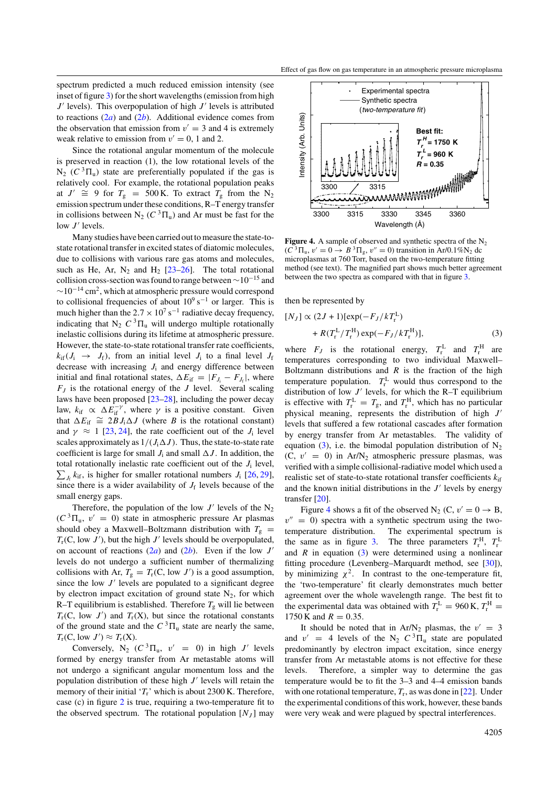spectrum predicted a much reduced emission intensity (see inset of figure [3\)](#page-2-0) for the short wavelengths (emission from high *J'* levels). This overpopulation of high *J'* levels is attributed to reactions  $(2a)$  $(2a)$  and  $(2b)$ . Additional evidence comes from the observation that emission from  $v' = 3$  and 4 is extremely weak relative to emission from  $v' = 0$ , 1 and 2.

Since the rotational angular momentum of the molecule is preserved in reaction (1), the low rotational levels of the  $N_2$  ( $C^3\Pi_u$ ) state are preferentially populated if the gas is relatively cool. For example, the rotational population peaks at  $J' \cong 9$  for  $T_g = 500 \text{ K}$ . To extract  $T_g$  from the N<sub>2</sub> emission spectrum under these conditions, R–T energy transfer in collisions between  $N_2$  ( $C^3\Pi_u$ ) and Ar must be fast for the low  $J'$  levels.

Many studies have been carried out to measure the state-tostate rotational transfer in excited states of diatomic molecules, due to collisions with various rare gas atoms and molecules, such as He, Ar,  $N_2$  and H<sub>2</sub> [\[23–26\]](#page-9-0). The total rotational collision cross-section was found to range between  $\sim$ 10<sup>-15</sup> and  $\sim$ 10<sup>-14</sup> cm<sup>2</sup>, which at atmospheric pressure would correspond to collisional frequencies of about  $10^9$  s<sup>-1</sup> or larger. This is much higher than the  $2.7 \times 10^7$  s<sup>-1</sup> radiative decay frequency, indicating that  $N_2 C^3 \Pi_u$  will undergo multiple rotationally inelastic collisions during its lifetime at atmospheric pressure. However, the state-to-state rotational transfer rate coefficients,  $k_{\text{if}}(J_i \rightarrow J_f)$ , from an initial level  $J_i$  to a final level  $J_f$ decrease with increasing *J*<sup>i</sup> and energy difference between initial and final rotational states,  $\Delta E_{\text{if}} = |F_{J_i} - F_{J_i}|$ , where  $F_J$  is the rotational energy of the *J* level. Several scaling laws have been proposed [\[23–28\]](#page-9-0), including the power decay law,  $k_{\text{if}} \propto \Delta E_{\text{if}}^{-\gamma}$ , where  $\gamma$  is a positive constant. Given that  $\Delta E_{\text{if}}$  ≅ 2*BJ*<sub>i</sub> $\Delta J$  (where *B* is the rotational constant) and  $\gamma \approx 1$  [\[23,](#page-9-0) [24\]](#page-9-0), the rate coefficient out of the *J*<sub>i</sub> level scales approximately as  $1/(J_i \Delta J)$ . Thus, the state-to-state rate coefficient is large for small  $J_i$  and small  $\Delta J$ . In addition, the total rotationally inelastic rate coefficient out of the *J*<sup>i</sup> level,  $\sum_{J_f} k_{\text{if}}$ , is higher for smaller rotational numbers  $J_i$  [\[26,](#page-9-0) [29\]](#page-9-0), since there is a wider availability of  $J_f$  levels because of the small energy gaps.

Therefore, the population of the low  $J'$  levels of the  $N_2$  $(C^{3}\Pi_{u}, v' = 0)$  state in atmospheric pressure Ar plasmas should obey a Maxwell–Boltzmann distribution with  $T_g$  =  $T_r$ (C, low *J'*), but the high *J'* levels should be overpopulated, on account of reactions  $(2a)$  $(2a)$  and  $(2b)$ . Even if the low *J'* levels do not undergo a sufficient number of thermalizing collisions with Ar,  $T_g = T_r(C, \text{low } J')$  is a good assumption, since the low  $J'$  levels are populated to a significant degree by electron impact excitation of ground state  $N_2$ , for which R–T equilibrium is established. Therefore  $T_g$  will lie between  $T_r(C, low J')$  and  $T_r(X)$ , but since the rotational constants of the ground state and the  $C^{3}\Pi_{u}$  state are nearly the same,  $T_{\rm r}$ (C, low  $J'$ )  $\approx T_{\rm r}$ (X).

Conversely,  $N_2$  ( $C^3 \Pi_u$ ,  $v' = 0$ ) in high *J'* levels formed by energy transfer from Ar metastable atoms will not undergo a significant angular momentum loss and the population distribution of these high  $J'$  levels will retain the memory of their initial  $T_r$ ' which is about 2300 K. Therefore, case (c) in figure [2](#page-2-0) is true, requiring a two-temperature fit to the observed spectrum. The rotational population  $[N_J]$  may



**Figure 4.** A sample of observed and synthetic spectra of the  $N_2$  $(C^{3}\Pi_{u}, v' = 0 \rightarrow B^{3}\Pi_{g}, v'' = 0)$  transition in Ar/0.1%N<sub>2</sub> dc microplasmas at 760 Torr, based on the two-temperature fitting method (see text). The magnified part shows much better agreement between the two spectra as compared with that in figure [3.](#page-2-0)

then be represented by

$$
[N_J] \propto (2J+1)[\exp(-F_J/kT_r^{\text{L}})] + R(T_r^{\text{L}}/T_r^{\text{H}}) \exp(-F_J/kT_r^{\text{H}})],
$$
\n(3)

where  $F_J$  is the rotational energy,  $T_r^L$  and  $T_r^H$  are temperatures corresponding to two individual Maxwell– Boltzmann distributions and  $R$  is the fraction of the high temperature population.  $T_{r}^{\text{L}}$  would thus correspond to the distribution of low  $J'$  levels, for which the R–T equilibrium is effective with  $T_{\rm r}^{\rm L} = T_{\rm g}$ , and  $T_{\rm r}^{\rm H}$ , which has no particular physical meaning, represents the distribution of high  $J'$ levels that suffered a few rotational cascades after formation by energy transfer from Ar metastables. The validity of equation [\(3\)](#page-2-0), i.e. the bimodal population distribution of  $N_2$  $(C, v' = 0)$  in Ar/N<sub>2</sub> atmospheric pressure plasmas, was verified with a simple collisional-radiative model which used a realistic set of state-to-state rotational transfer coefficients  $k_{if}$ and the known initial distributions in the  $J'$  levels by energy transfer [\[20\]](#page-9-0).

Figure 4 shows a fit of the observed  $N_2$  (C,  $v' = 0 \rightarrow B$ ,  $v'' = 0$ ) spectra with a synthetic spectrum using the twotemperature distribution. The experimental spectrum is the same as in figure [3.](#page-2-0) The three parameters  $T_{\rm r}^{\rm H}$ ,  $T_{\rm r}^{\rm L}$ and  $R$  in equation  $(3)$  were determined using a nonlinear fitting procedure (Levenberg–Marquardt method, see [\[30\]](#page-9-0)), by minimizing  $\chi^2$ . In contrast to the one-temperature fit, the 'two-temperature' fit clearly demonstrates much better agreement over the whole wavelength range. The best fit to the experimental data was obtained with  $T_r^{\text{L}} = 960 \text{ K}$ ,  $T_r^{\text{H}} =$ 1750 K and  $R = 0.35$ .

It should be noted that in Ar/ $N_2$  plasmas, the  $v' = 3$ and  $v' = 4$  levels of the N<sub>2</sub>  $C^{3} \Pi_{u}$  state are populated predominantly by electron impact excitation, since energy transfer from Ar metastable atoms is not effective for these levels. Therefore, a simpler way to determine the gas temperature would be to fit the 3–3 and 4–4 emission bands with one rotational temperature,  $T_r$ , as was done in [\[22\]](#page-9-0). Under the experimental conditions of this work, however, these bands were very weak and were plagued by spectral interferences.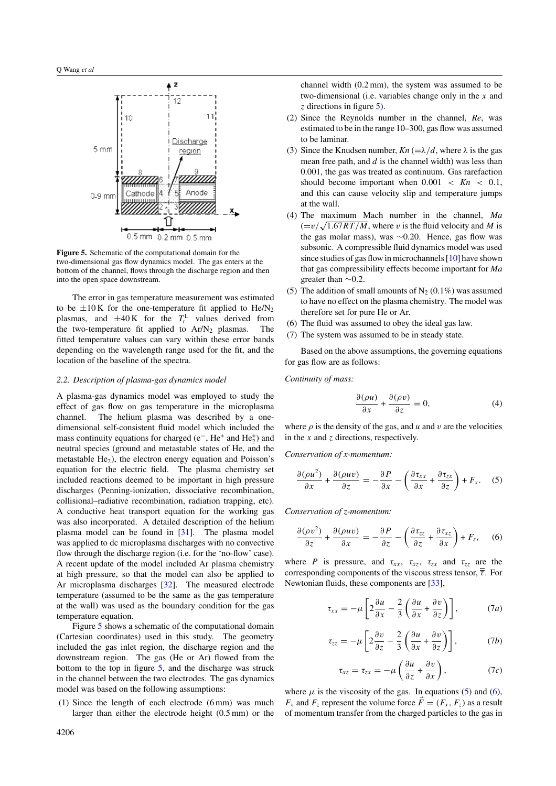<span id="page-4-0"></span>

**Figure 5.** Schematic of the computational domain for the two-dimensional gas flow dynamics model. The gas enters at the bottom of the channel, flows through the discharge region and then into the open space downstream.

The error in gas temperature measurement was estimated to be  $\pm 10$  K for the one-temperature fit applied to He/N<sub>2</sub> plasmas, and  $\pm 40 \text{ K}$  for the  $T_r^{\text{L}}$  values derived from the two-temperature fit applied to  $Ar/N_2$  plasmas. The fitted temperature values can vary within these error bands depending on the wavelength range used for the fit, and the location of the baseline of the spectra.

# *2.2. Description of plasma-gas dynamics model*

A plasma-gas dynamics model was employed to study the effect of gas flow on gas temperature in the microplasma channel. The helium plasma was described by a onedimensional self-consistent fluid model which included the mass continuity equations for charged  $(e^-, He^+)$  and  $He_2^+)$  and neutral species (ground and metastable states of He, and the metastable  $He<sub>2</sub>$ ), the electron energy equation and Poisson's equation for the electric field. The plasma chemistry set included reactions deemed to be important in high pressure discharges (Penning-ionization, dissociative recombination, collisional–radiative recombination, radiation trapping, etc). A conductive heat transport equation for the working gas was also incorporated. A detailed description of the helium plasma model can be found in [\[31\]](#page-9-0). The plasma model was applied to dc microplasma discharges with no convective flow through the discharge region (i.e. for the 'no-flow' case). A recent update of the model included Ar plasma chemistry at high pressure, so that the model can also be applied to Ar microplasma discharges [\[32\]](#page-9-0). The measured electrode temperature (assumed to be the same as the gas temperature at the wall) was used as the boundary condition for the gas temperature equation.

Figure 5 shows a schematic of the computational domain (Cartesian coordinates) used in this study. The geometry included the gas inlet region, the discharge region and the downstream region. The gas (He or Ar) flowed from the bottom to the top in figure 5, and the discharge was struck in the channel between the two electrodes. The gas dynamics model was based on the following assumptions:

(1) Since the length of each electrode (6 mm) was much larger than either the electrode height (0.5 mm) or the channel width (0.2 mm), the system was assumed to be two-dimensional (i.e. variables change only in the *x* and *z* directions in figure 5).

- (2) Since the Reynolds number in the channel, *Re*, was estimated to be in the range 10–300, gas flow was assumed to be laminar.
- (3) Since the Knudsen number,  $Kn (= \lambda/d)$ , where  $\lambda$  is the gas mean free path, and *d* is the channel width) was less than 0.001, the gas was treated as continuum. Gas rarefaction should become important when  $0.001 < Kn < 0.1$ , and this can cause velocity slip and temperature jumps at the wall.
- (4) The maximum Mach number in the channel, *Ma*  $\left(-\frac{v}{\sqrt{1.67RT/M}}\right)$ , where *v* is the fluid velocity and *M* is the gas molar mass), was ∼0.20. Hence, gas flow was subsonic. A compressible fluid dynamics model was used since studies of gas flow in microchannels [\[10\]](#page-9-0) have shown that gas compressibility effects become important for *Ma* greater than ∼0.2.
- (5) The addition of small amounts of  $N_2$  (0.1%) was assumed to have no effect on the plasma chemistry. The model was therefore set for pure He or Ar.
- (6) The fluid was assumed to obey the ideal gas law.
- (7) The system was assumed to be in steady state.

Based on the above assumptions, the governing equations for gas flow are as follows:

*Continuity of mass:*

$$
\frac{\partial(\rho u)}{\partial x} + \frac{\partial(\rho v)}{\partial z} = 0, \tag{4}
$$

where  $\rho$  is the density of the gas, and  $u$  and  $v$  are the velocities in the *x* and *z* directions, respectively.

*Conservation of x-momentum:*

$$
\frac{\partial(\rho u^2)}{\partial x} + \frac{\partial(\rho u v)}{\partial z} = -\frac{\partial P}{\partial x} - \left(\frac{\partial \tau_{xx}}{\partial x} + \frac{\partial \tau_{zx}}{\partial z}\right) + F_x. \quad (5)
$$

*Conservation of z-momentum:*

$$
\frac{\partial(\rho v^2)}{\partial z} + \frac{\partial(\rho u v)}{\partial x} = -\frac{\partial P}{\partial z} - \left(\frac{\partial \tau_{zz}}{\partial z} + \frac{\partial \tau_{xz}}{\partial x}\right) + F_z, \quad (6)
$$

where *P* is pressure, and  $\tau_{xx}$ ,  $\tau_{xz}$ ,  $\tau_{zx}$  and  $\tau_{zz}$  are the corresponding components of the viscous stress tensor,  $\overline{\tau}$ . For Newtonian fluids, these components are [\[33\]](#page-9-0),

$$
\tau_{xx} = -\mu \left[ 2\frac{\partial u}{\partial x} - \frac{2}{3} \left( \frac{\partial u}{\partial x} + \frac{\partial v}{\partial z} \right) \right],\tag{7a}
$$

$$
\tau_{zz} = -\mu \left[ 2\frac{\partial v}{\partial z} - \frac{2}{3} \left( \frac{\partial u}{\partial x} + \frac{\partial v}{\partial z} \right) \right],\tag{7b}
$$

$$
\tau_{xz} = \tau_{zx} = -\mu \left( \frac{\partial u}{\partial z} + \frac{\partial v}{\partial x} \right),\tag{7c}
$$

where  $\mu$  is the viscosity of the gas. In equations (5) and (6),  $F_x$  and  $F_z$  represent the volume force  $\vec{F} = (F_x, F_z)$  as a result of momentum transfer from the charged particles to the gas in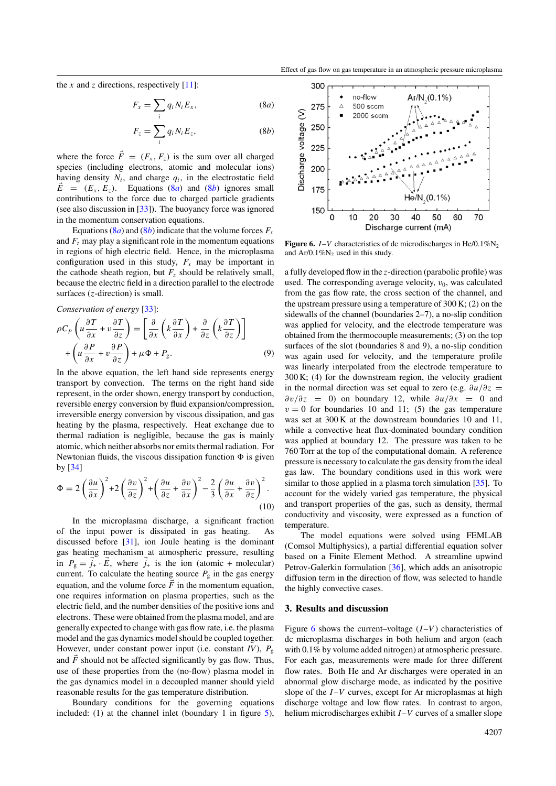Effect of gas flow on gas temperature in an atmospheric pressure microplasma

<span id="page-5-0"></span>the *x* and *z* directions, respectively  $[11]$ :

$$
F_x = \sum_i q_i N_i E_x, \qquad (8a)
$$

$$
F_z = \sum_i q_i N_i E_z, \tag{8b}
$$

where the force  $\vec{F} = (F_x, F_z)$  is the sum over all charged species (including electrons, atomic and molecular ions) having density  $N_i$ , and charge  $q_i$ , in the electrostatic field  $\vec{E}$  =  $(E_x, E_z)$ . Equations (8*a*) and (8*b*) ignores small contributions to the force due to charged particle gradients (see also discussion in [\[33\]](#page-9-0)). The buoyancy force was ignored in the momentum conservation equations.

Equations ( $8a$ ) and ( $8b$ ) indicate that the volume forces  $F<sub>x</sub>$ and  $F<sub>z</sub>$  may play a significant role in the momentum equations in regions of high electric field. Hence, in the microplasma configuration used in this study,  $F_x$  may be important in the cathode sheath region, but  $F<sub>z</sub>$  should be relatively small, because the electric field in a direction parallel to the electrode surfaces (*z*-direction) is small.

*Conservation of energy* [\[33\]](#page-9-0):

$$
\rho C_p \left( u \frac{\partial T}{\partial x} + v \frac{\partial T}{\partial z} \right) = \left[ \frac{\partial}{\partial x} \left( k \frac{\partial T}{\partial x} \right) + \frac{\partial}{\partial z} \left( k \frac{\partial T}{\partial z} \right) \right]
$$

$$
+ \left( u \frac{\partial P}{\partial x} + v \frac{\partial P}{\partial z} \right) + \mu \Phi + P_g. \tag{9}
$$

In the above equation, the left hand side represents energy transport by convection. The terms on the right hand side represent, in the order shown, energy transport by conduction, reversible energy conversion by fluid expansion/compression, irreversible energy conversion by viscous dissipation, and gas heating by the plasma, respectively. Heat exchange due to thermal radiation is negligible, because the gas is mainly atomic, which neither absorbs nor emits thermal radiation. For Newtonian fluids, the viscous dissipation function  is given by [\[34\]](#page-9-0)

$$
\Phi = 2\left(\frac{\partial u}{\partial x}\right)^2 + 2\left(\frac{\partial v}{\partial z}\right)^2 + \left(\frac{\partial u}{\partial z} + \frac{\partial v}{\partial x}\right)^2 - \frac{2}{3}\left(\frac{\partial u}{\partial x} + \frac{\partial v}{\partial z}\right)^2.
$$
\n(10)

In the microplasma discharge, a significant fraction of the input power is dissipated in gas heating. As discussed before [\[31\]](#page-9-0), ion Joule heating is the dominant gas heating mechanism at atmospheric pressure, resulting in  $P_{g} = j_{+} \cdot E$ , where  $j_{+}$  is the ion (atomic + molecular) current. To calculate the heating source  $P_g$  in the gas energy equation, and the volume force  $\vec{F}$  in the momentum equation, one requires information on plasma properties, such as the electric field, and the number densities of the positive ions and electrons. These were obtained from the plasma model, and are generally expected to change with gas flow rate, i.e. the plasma model and the gas dynamics model should be coupled together. However, under constant power input (i.e. constant *IV*), *P*<sup>g</sup> and  $\vec{F}$  should not be affected significantly by gas flow. Thus, use of these properties from the (no-flow) plasma model in the gas dynamics model in a decoupled manner should yield reasonable results for the gas temperature distribution.

Boundary conditions for the governing equations included: (1) at the channel inlet (boundary 1 in figure [5\)](#page-4-0),



**Figure 6.** *I*–*V* characteristics of dc microdischarges in He/0.1%N<sub>2</sub> and  $Ar/0.1\%N_2$  used in this study.

a fully developed flow in the *z*-direction (parabolic profile) was used. The corresponding average velocity,  $v_0$ , was calculated from the gas flow rate, the cross section of the channel, and the upstream pressure using a temperature of  $300 \text{ K}$ ; (2) on the sidewalls of the channel (boundaries 2–7), a no-slip condition was applied for velocity, and the electrode temperature was obtained from the thermocouple measurements; (3) on the top surfaces of the slot (boundaries 8 and 9), a no-slip condition was again used for velocity, and the temperature profile was linearly interpolated from the electrode temperature to 300 K; (4) for the downstream region, the velocity gradient in the normal direction was set equal to zero (e.g. *∂u/∂z* = *∂v/∂z* = 0) on boundary 12, while *∂u/∂x* = 0 and  $v = 0$  for boundaries 10 and 11; (5) the gas temperature was set at 300 K at the downstream boundaries 10 and 11, while a convective heat flux-dominated boundary condition was applied at boundary 12. The pressure was taken to be 760 Torr at the top of the computational domain. A reference pressure is necessary to calculate the gas density from the ideal gas law. The boundary conditions used in this work were similar to those applied in a plasma torch simulation [\[35\]](#page-9-0). To account for the widely varied gas temperature, the physical and transport properties of the gas, such as density, thermal conductivity and viscosity, were expressed as a function of temperature.

The model equations were solved using FEMLAB (Comsol Multiphysics), a partial differential equation solver based on a Finite Element Method. A streamline upwind Petrov-Galerkin formulation [\[36\]](#page-9-0), which adds an anisotropic diffusion term in the direction of flow, was selected to handle the highly convective cases.

## **3. Results and discussion**

Figure 6 shows the current–voltage  $(I-V)$  characteristics of dc microplasma discharges in both helium and argon (each with 0.1% by volume added nitrogen) at atmospheric pressure. For each gas, measurements were made for three different flow rates. Both He and Ar discharges were operated in an abnormal glow discharge mode, as indicated by the positive slope of the *I*–*V* curves, except for Ar microplasmas at high discharge voltage and low flow rates. In contrast to argon, helium microdischarges exhibit *I*–*V* curves of a smaller slope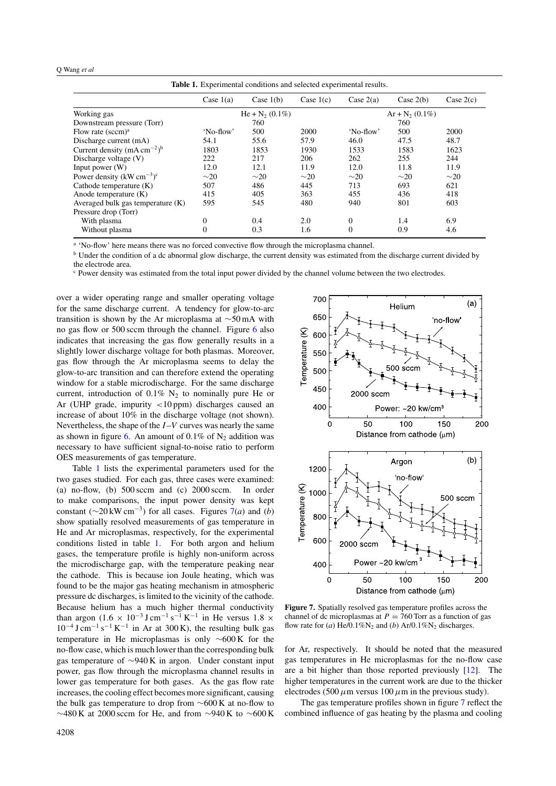<span id="page-6-0"></span>

| <b>Table 1.</b> Experimental conditions and selected experimental results. |                               |             |             |                    |             |             |
|----------------------------------------------------------------------------|-------------------------------|-------------|-------------|--------------------|-------------|-------------|
|                                                                            | Case $1(a)$                   | Case $1(b)$ | Case $1(c)$ | Case $2(a)$        | Case $2(b)$ | Case $2(c)$ |
| Working gas                                                                | He + N <sub>2</sub> $(0.1\%)$ |             |             | $Ar + N_2 (0.1\%)$ |             |             |
| Downstream pressure (Torr)                                                 |                               | 760         |             |                    | 760         |             |
| Flow rate $({\rm sccm})^a$                                                 | 'No-flow'                     | 500         | 2000        | 'No-flow'          | 500         | 2000        |
| Discharge current (mA)                                                     | 54.1                          | 55.6        | 57.9        | 46.0               | 47.5        | 48.7        |
| Current density (mA cm <sup>-2</sup> ) <sup>b</sup>                        | 1803                          | 1853        | 1930        | 1533               | 1583        | 1623        |
| Discharge voltage (V)                                                      | 222                           | 217         | 206         | 262                | 255         | 244         |
| Input power $(W)$                                                          | 12.0                          | 12.1        | 11.9        | 12.0               | 11.8        | 11.9        |
| Power density $(kW cm^{-3})^c$                                             | $\sim$ 20                     | $\sim$ 20   | $\sim$ 20   | $\sim$ 20          | $\sim$ 20   | $\sim$ 20   |
| Cathode temperature $(K)$                                                  | 507                           | 486         | 445         | 713                | 693         | 621         |
| Anode temperature $(K)$                                                    | 415                           | 405         | 363         | 455                | 436         | 418         |
| Averaged bulk gas temperature $(K)$                                        | 595                           | 545         | 480         | 940                | 801         | 603         |
| Pressure drop (Torr)                                                       |                               |             |             |                    |             |             |
| With plasma                                                                | 0                             | 0.4         | 2.0         | $\overline{0}$     | 1.4         | 6.9         |
| Without plasma                                                             | 0                             | 0.3         | 1.6         | $\Omega$           | 0.9         | 4.6         |

<sup>a</sup> 'No-flow' here means there was no forced convective flow through the microplasma channel.

<sup>b</sup> Under the condition of a dc abnormal glow discharge, the current density was estimated from the discharge current divided by

the electrode area.

<sup>c</sup> Power density was estimated from the total input power divided by the channel volume between the two electrodes.

over a wider operating range and smaller operating voltage for the same discharge current. A tendency for glow-to-arc transition is shown by the Ar microplasma at ∼50 mA with no gas flow or 500 sccm through the channel. Figure [6](#page-5-0) also indicates that increasing the gas flow generally results in a slightly lower discharge voltage for both plasmas. Moreover, gas flow through the Ar microplasma seems to delay the glow-to-arc transition and can therefore extend the operating window for a stable microdischarge. For the same discharge current, introduction of  $0.1\%$  N<sub>2</sub> to nominally pure He or Ar (UHP grade, impurity *<*10 ppm) discharges caused an increase of about 10% in the discharge voltage (not shown). Nevertheless, the shape of the *I*–*V* curves was nearly the same as shown in figure [6.](#page-5-0) An amount of 0.1% of  $N_2$  addition was necessary to have sufficient signal-to-noise ratio to perform OES measurements of gas temperature.

Table 1 lists the experimental parameters used for the two gases studied. For each gas, three cases were examined: (a) no-flow, (b) 500 sccm and (c) 2000 sccm. In order to make comparisons, the input power density was kept constant ( $\sim$ 20 kW cm<sup>-3</sup>) for all cases. Figures 7(*a*) and (*b*) show spatially resolved measurements of gas temperature in He and Ar microplasmas, respectively, for the experimental conditions listed in table 1. For both argon and helium gases, the temperature profile is highly non-uniform across the microdischarge gap, with the temperature peaking near the cathode. This is because ion Joule heating, which was found to be the major gas heating mechanism in atmospheric pressure dc discharges, is limited to the vicinity of the cathode. Because helium has a much higher thermal conductivity than argon (1.6 × 10<sup>-3</sup> J cm<sup>-1</sup> s<sup>-1</sup> K<sup>-1</sup> in He versus 1.8 ×  $10^{-4}$  J cm<sup>-1</sup> s<sup>-1</sup> K<sup>-1</sup> in Ar at 300 K), the resulting bulk gas temperature in He microplasmas is only ∼600 K for the no-flow case, which is much lower than the corresponding bulk gas temperature of ∼940 K in argon. Under constant input power, gas flow through the microplasma channel results in lower gas temperature for both gases. As the gas flow rate increases, the cooling effect becomes more significant, causing the bulk gas temperature to drop from ∼600 K at no-flow to  $\sim$ 480 K at 2000 sccm for He, and from  $\sim$ 940 K to  $\sim$ 600 K



**Figure 7.** Spatially resolved gas temperature profiles across the channel of dc microplasmas at  $P = 760$  Torr as a function of gas flow rate for (*a*) He/0.1% $N_2$  and (*b*) Ar/0.1% $N_2$  discharges.

for Ar, respectively. It should be noted that the measured gas temperatures in He microplasmas for the no-flow case are a bit higher than those reported previously [\[12\]](#page-9-0). The higher temperatures in the current work are due to the thicker electrodes (500  $\mu$ m versus 100  $\mu$ m in the previous study).

The gas temperature profiles shown in figure 7 reflect the combined influence of gas heating by the plasma and cooling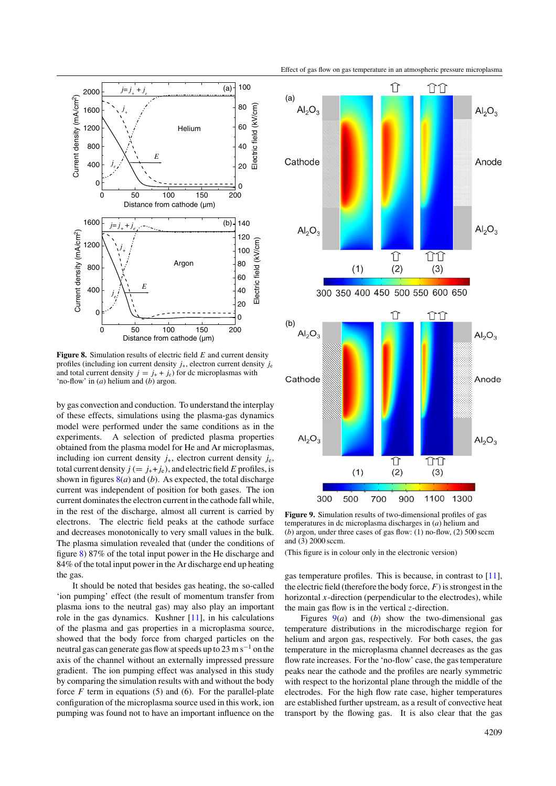Effect of gas flow on gas temperature in an atmospheric pressure microplasma

<span id="page-7-0"></span>

**Figure 8.** Simulation results of electric field *E* and current density profiles (including ion current density  $j_{+}$ , electron current density  $j_{e}$ and total current density  $j = j_{+} + j_{e}$  for dc microplasmas with 'no-flow' in (*a*) helium and (*b*) argon.

by gas convection and conduction. To understand the interplay of these effects, simulations using the plasma-gas dynamics model were performed under the same conditions as in the experiments. A selection of predicted plasma properties obtained from the plasma model for He and Ar microplasmas, including ion current density  $j_{+}$ , electron current density  $j_{e}$ , total current density  $j (= j_{+} + j_{e})$ , and electric field *E* profiles, is shown in figures 8(*a*) and (*b*). As expected, the total discharge current was independent of position for both gases. The ion current dominates the electron current in the cathode fall while, in the rest of the discharge, almost all current is carried by electrons. The electric field peaks at the cathode surface and decreases monotonically to very small values in the bulk. The plasma simulation revealed that (under the conditions of figure 8) 87% of the total input power in the He discharge and 84% of the total input power in the Ar discharge end up heating the gas.

It should be noted that besides gas heating, the so-called 'ion pumping' effect (the result of momentum transfer from plasma ions to the neutral gas) may also play an important role in the gas dynamics. Kushner  $[11]$ , in his calculations of the plasma and gas properties in a microplasma source, showed that the body force from charged particles on the neutral gas can generate gas flow at speeds up to  $23 \text{ m s}^{-1}$  on the axis of the channel without an externally impressed pressure gradient. The ion pumping effect was analysed in this study by comparing the simulation results with and without the body force *F* term in equations (5) and (6). For the parallel-plate configuration of the microplasma source used in this work, ion pumping was found not to have an important influence on the



**Figure 9.** Simulation results of two-dimensional profiles of gas temperatures in dc microplasma discharges in (*a*) helium and (*b*) argon, under three cases of gas flow: (1) no-flow, (2) 500 sccm and (3) 2000 sccm.

(This figure is in colour only in the electronic version)

gas temperature profiles. This is because, in contrast to [\[11\]](#page-9-0), the electric field (therefore the body force,  $F$ ) is strongest in the horizontal *x*-direction (perpendicular to the electrodes), while the main gas flow is in the vertical *z*-direction.

Figures  $9(a)$  and (*b*) show the two-dimensional gas temperature distributions in the microdischarge region for helium and argon gas, respectively. For both cases, the gas temperature in the microplasma channel decreases as the gas flow rate increases. For the 'no-flow' case, the gas temperature peaks near the cathode and the profiles are nearly symmetric with respect to the horizontal plane through the middle of the electrodes. For the high flow rate case, higher temperatures are established further upstream, as a result of convective heat transport by the flowing gas. It is also clear that the gas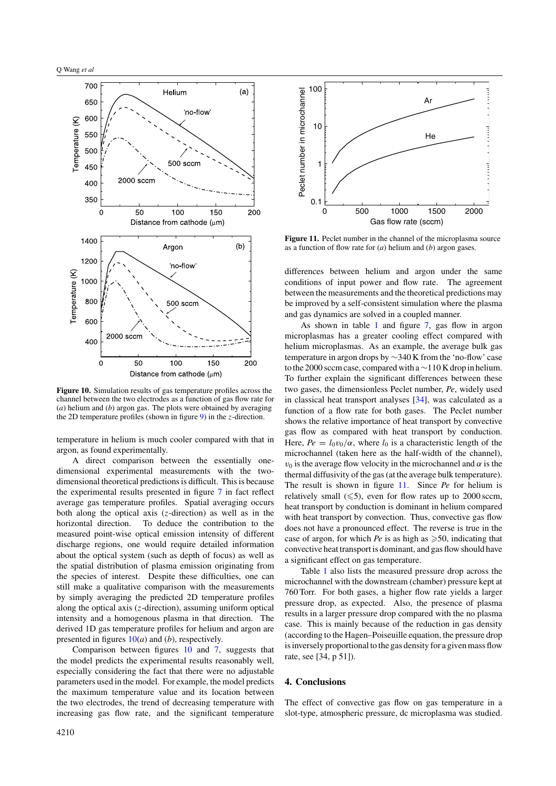

**Figure 10.** Simulation results of gas temperature profiles across the channel between the two electrodes as a function of gas flow rate for (*a*) helium and (*b*) argon gas. The plots were obtained by averaging the 2D temperature profiles (shown in figure [9\)](#page-7-0) in the *z*-direction.

temperature in helium is much cooler compared with that in argon, as found experimentally.

A direct comparison between the essentially onedimensional experimental measurements with the twodimensional theoretical predictions is difficult. This is because the experimental results presented in figure [7](#page-6-0) in fact reflect average gas temperature profiles. Spatial averaging occurs both along the optical axis (*z*-direction) as well as in the horizontal direction. To deduce the contribution to the measured point-wise optical emission intensity of different discharge regions, one would require detailed information about the optical system (such as depth of focus) as well as the spatial distribution of plasma emission originating from the species of interest. Despite these difficulties, one can still make a qualitative comparison with the measurements by simply averaging the predicted 2D temperature profiles along the optical axis (*z*-direction), assuming uniform optical intensity and a homogenous plasma in that direction. The derived 1D gas temperature profiles for helium and argon are presented in figures 10(*a*) and (*b*), respectively.

Comparison between figures 10 and [7,](#page-6-0) suggests that the model predicts the experimental results reasonably well, especially considering the fact that there were no adjustable parameters used in the model. For example, the model predicts the maximum temperature value and its location between the two electrodes, the trend of decreasing temperature with increasing gas flow rate, and the significant temperature



**Figure 11.** Peclet number in the channel of the microplasma source as a function of flow rate for (*a*) helium and (*b*) argon gases.

differences between helium and argon under the same conditions of input power and flow rate. The agreement between the measurements and the theoretical predictions may be improved by a self-consistent simulation where the plasma and gas dynamics are solved in a coupled manner.

As shown in table [1](#page-6-0) and figure [7,](#page-6-0) gas flow in argon microplasmas has a greater cooling effect compared with helium microplasmas. As an example, the average bulk gas temperature in argon drops by ∼340 K from the 'no-flow' case to the 2000 sccm case, compared with a∼110 K drop in helium. To further explain the significant differences between these two gases, the dimensionless Peclet number, *Pe*, widely used in classical heat transport analyses [\[34\]](#page-9-0), was calculated as a function of a flow rate for both gases. The Peclet number shows the relative importance of heat transport by convective gas flow as compared with heat transport by conduction. Here,  $Pe = l_0 v_0/\alpha$ , where  $l_0$  is a characteristic length of the microchannel (taken here as the half-width of the channel),  $v_0$  is the average flow velocity in the microchannel and  $\alpha$  is the thermal diffusivity of the gas (at the average bulk temperature). The result is shown in figure 11. Since *Pe* for helium is relatively small  $(\leq 5)$ , even for flow rates up to 2000 sccm, heat transport by conduction is dominant in helium compared with heat transport by convection. Thus, convective gas flow does not have a pronounced effect. The reverse is true in the case of argon, for which  $Pe$  is as high as  $\geq 50$ , indicating that convective heat transport is dominant, and gas flow should have a significant effect on gas temperature.

Table [1](#page-6-0) also lists the measured pressure drop across the microchannel with the downstream (chamber) pressure kept at 760 Torr. For both gases, a higher flow rate yields a larger pressure drop, as expected. Also, the presence of plasma results in a larger pressure drop compared with the no plasma case. This is mainly because of the reduction in gas density (according to the Hagen–Poiseuille equation, the pressure drop is inversely proportional to the gas density for a given mass flow rate, see [34, p 51]).

# **4. Conclusions**

The effect of convective gas flow on gas temperature in a slot-type, atmospheric pressure, dc microplasma was studied.